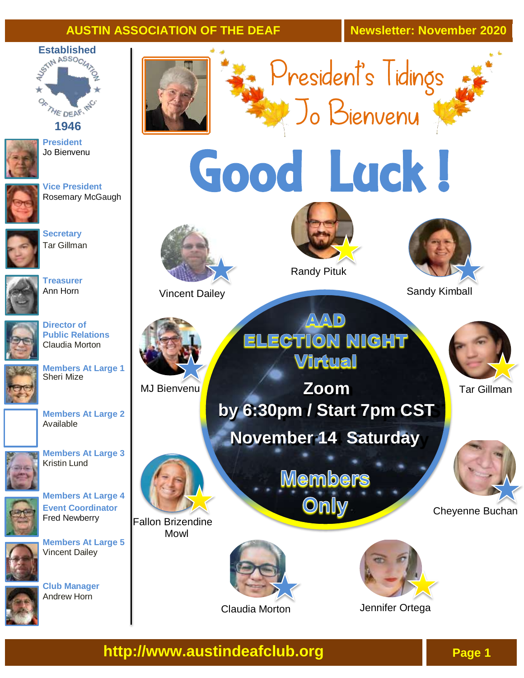#### **AUSTIN ASSOCIATION OF THE DEAF Newsletter: November 2020**



**1946**



**President** Jo Bienvenu



**Vice President** Rosemary McGaugh



**Secretary** Tar Gillman



**Treasurer**  Ann Horn



**Director of Public Relations**  Claudia Morton



**Members At Large 1**  Sheri Mize





**Members At Large 3** Kristin Lund



**Members At Large 4** 



Fred Newberry **Members At Large 5** Vincent Dailey









President's Tidings Jo Bienvenu









Fallon Brizendine Mowl



Claudia Morton



Randy Pituk

 $\sqrt{\Delta}\sqrt{\Delta}$  D **ELECTION NIGHT** Virtual

**November 14 Saturday MJ Bienvenu Tar Gillman by 6:30pm / Start 7pm CST**

> **Members** Only



Vincent Dailey Sandy Kimball





Cheyenne Buchan





Jennifer Ortega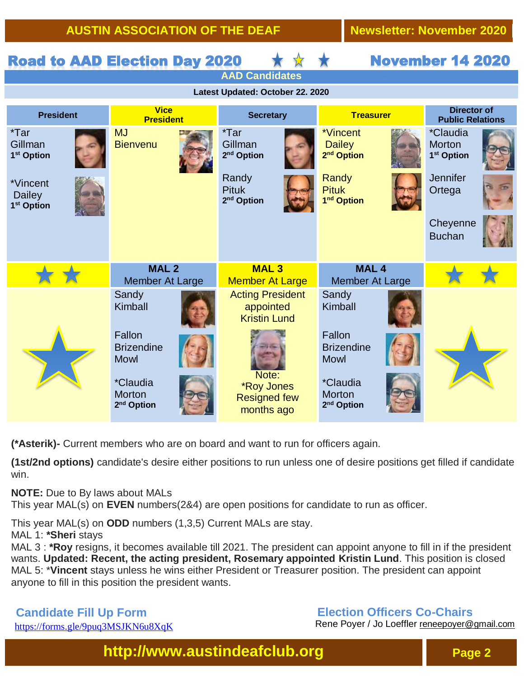**AUSTIN ASSOCIATION OF THE DEAF Newsletter: November 2020**

|                                                     | <b>Road to AAD Election Day 2020</b>                       |                                                                 |                                                              | <b>November 14 2020</b>                                                       |
|-----------------------------------------------------|------------------------------------------------------------|-----------------------------------------------------------------|--------------------------------------------------------------|-------------------------------------------------------------------------------|
| <b>AAD Candidates</b>                               |                                                            |                                                                 |                                                              |                                                                               |
| Latest Updated: October 22. 2020                    |                                                            |                                                                 |                                                              |                                                                               |
| <b>President</b>                                    | <b>Vice</b><br><b>President</b>                            | <b>Secretary</b>                                                | <b>Treasurer</b>                                             | <b>Director of</b><br><b>Public Relations</b>                                 |
| $*Tar$<br>Gillman<br>1 <sup>st</sup> Option         | <b>MJ</b><br><b>Bienvenu</b>                               | *Tar<br>Gillman<br>2 <sup>nd</sup> Option<br>Randy              | *Vincent<br><b>Dailey</b><br>2 <sup>nd</sup> Option<br>Randy | <i>*Claudia</i><br><b>Morton</b><br>1 <sup>st</sup> Option<br><b>Jennifer</b> |
| *Vincent<br><b>Dailey</b><br>1 <sup>st</sup> Option |                                                            | <b>Pituk</b><br>2 <sup>nd</sup> Option                          | <b>Pituk</b><br>1 <sup>nd</sup> Option                       | Ortega                                                                        |
|                                                     |                                                            |                                                                 |                                                              | Cheyenne<br><b>Buchan</b>                                                     |
|                                                     | MAL <sub>2</sub><br><b>Member At Large</b>                 | <b>MAL3</b><br><b>Member At Large</b>                           | MAL <sub>4</sub><br><b>Member At Large</b>                   |                                                                               |
|                                                     | Sandy<br>Kimball                                           | <b>Acting President</b><br>appointed<br><b>Kristin Lund</b>     | Sandy<br>Kimball                                             |                                                                               |
|                                                     | Fallon<br><b>Brizendine</b><br><b>Mowl</b>                 |                                                                 | Fallon<br><b>Brizendine</b><br><b>Mowl</b>                   |                                                                               |
|                                                     | <i>*Claudia</i><br><b>Morton</b><br>2 <sup>nd</sup> Option | Note:<br><b>*Roy Jones</b><br><b>Resigned few</b><br>months ago | <i>*Claudia</i><br><b>Morton</b><br>2 <sup>nd</sup> Option   |                                                                               |

**(\*Asterik)-** Current members who are on board and want to run for officers again.

**(1st/2nd options)** candidate's desire either positions to run unless one of desire positions get filled if candidate win.

**NOTE:** Due to By laws about MALs

This year MAL(s) on **EVEN** numbers(2&4) are open positions for candidate to run as officer.

This year MAL(s) on **ODD** numbers (1,3,5) Current MALs are stay.

MAL 1: **\*Sheri** stays

MAL 3 : **\*Roy** resigns, it becomes available till 2021. The president can appoint anyone to fill in if the president wants. **Updated: Recent, the acting president, Rosemary appointed Kristin Lund**. This position is closed MAL 5: \***Vincent** stays unless he wins either President or Treasurer position. The president can appoint anyone to fill in this position the president wants.

**Candidate Fill Up Form** https://forms.gle/9puq3MSJKN6u8XqK

#### **Election Officers Co-Chairs**

 Rene Poyer / Jo Loeffler [reneepoyer@gmail.com](mailto:reneepoyer@gmail.com)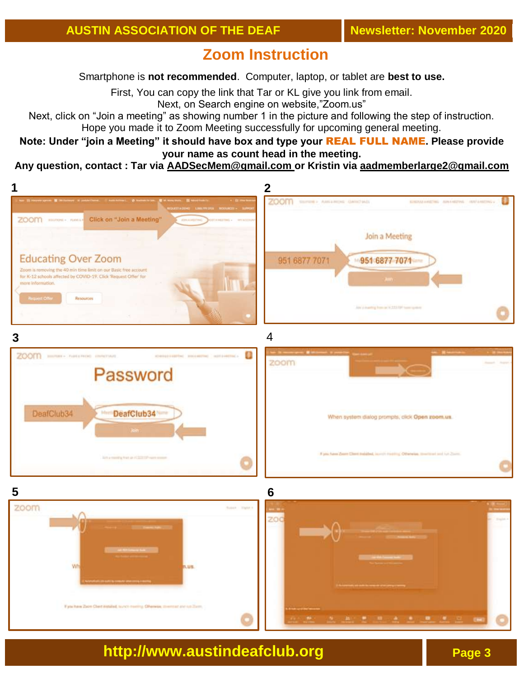# **Zoom Instruction**

Smartphone is **not recommended**. Computer, laptop, or tablet are **best to use.**

First, You can copy the link that Tar or KL give you link from email.

Next, on Search engine on website,"Zoom.us"

Next, click on "Join a meeting" as showing number 1 in the picture and following the step of instruction. Hope you made it to Zoom Meeting successfully for upcoming general meeting.

. **Note: Under "join a Meeting" it should have box and type your** REAL FULL NAME**. Please provide your name as count head in the meeting.**

#### **Any question, contact : Tar via [AADSecMem@gmail.com](mailto:AADSecMem@gmail.com) or Kristin via aadmemberlarge2@gmail.com**

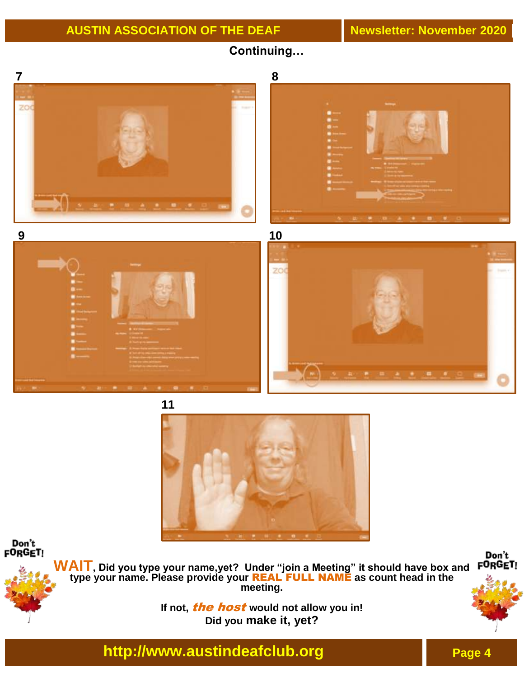**Continuing…**





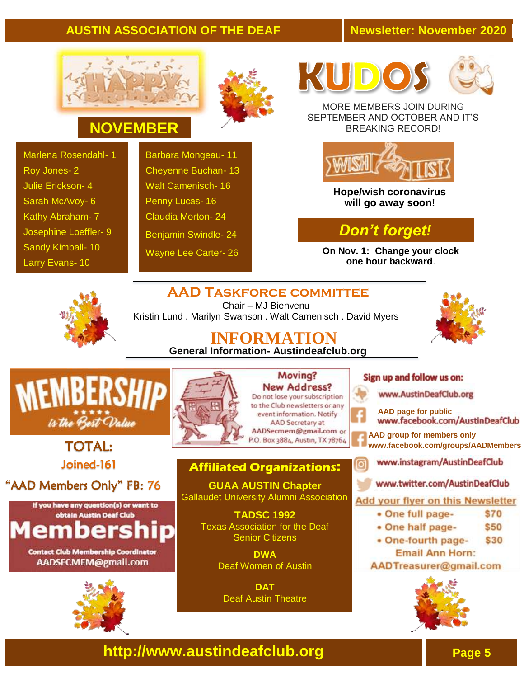### **AUSTIN ASSOCIATION OF THE DEAF Newsletter: November 2020**





# **NOVEMBER**

Marlena Rosendahl- 1 Roy Jones- 2 Julie Erickson- 4 Sarah McAvoy- 6 Kathy Abraham- 7 Josephine Loeffler- 9 Sandy Kimball- 10 Larry Evans- 10

Barbara Mongeau- 11 Cheyenne Buchan- 13 Walt Camenisch- 16 Penny Lucas- 16 Claudia Morton- 24 Benjamin Swindle- 24 Wayne Lee Carter- 26





MORE MEMBERS JOIN DURING SEPTEMBER AND OCTOBER AND IT'S BREAKING RECORD!



**Hope/wish coronavirus will go away soon!**

## *Don't forget!*

**On Nov. 1: Change your clock one hour backward**.

## **AAD Taskforce committee**



Chair – MJ Bienvenu Kristin Lund . Marilyn Swanson . Walt Camenisch . David Myers



**INFORMATION General Information- Austindeafclub.org**



### TOTAL: Joined-161

## "AAD Members Only" FB: 76



#### **Contact Club Membership Coordinator** AADSECMEM@gmail.com





Moving? **New Address?** Do not lose your subscription to the Club newsletters or any event information. Notify AAD Secretary at AADSecmem@gmail.com or P.O. Box 3884, Austin, TX 78764

### **Affiliated Organizations:**

**GUAA AUSTIN Chapter** Gallaudet University Alumni Association

> **TADSC 1992**  Texas Association for the Deaf Senior Citizens

> > **DWA** Deaf Women of Austin

**DAT**  Deaf Austin Theatre

#### Sign up and follow us on:

www.AustinDeafClub.org



ପ

**[AAD](http://www.facebook.com/groups/AADMembers) page for public**

- **[AAD](http://www.facebook.com/groups/AADMembers) group for members only [www.facebook.com/groups/AADMembers](http://www.facebook.com/groups/AADMembers)**
	- www.instagram/AustinDeafClub
	- www.twitter.com/AustinDeafClub

Add your flyer on this Newsletter

- · One full page-\$70
- One half page-\$50
- One-fourth page-\$30 **Email Ann Horn:**

AADTreasurer@gmail.com